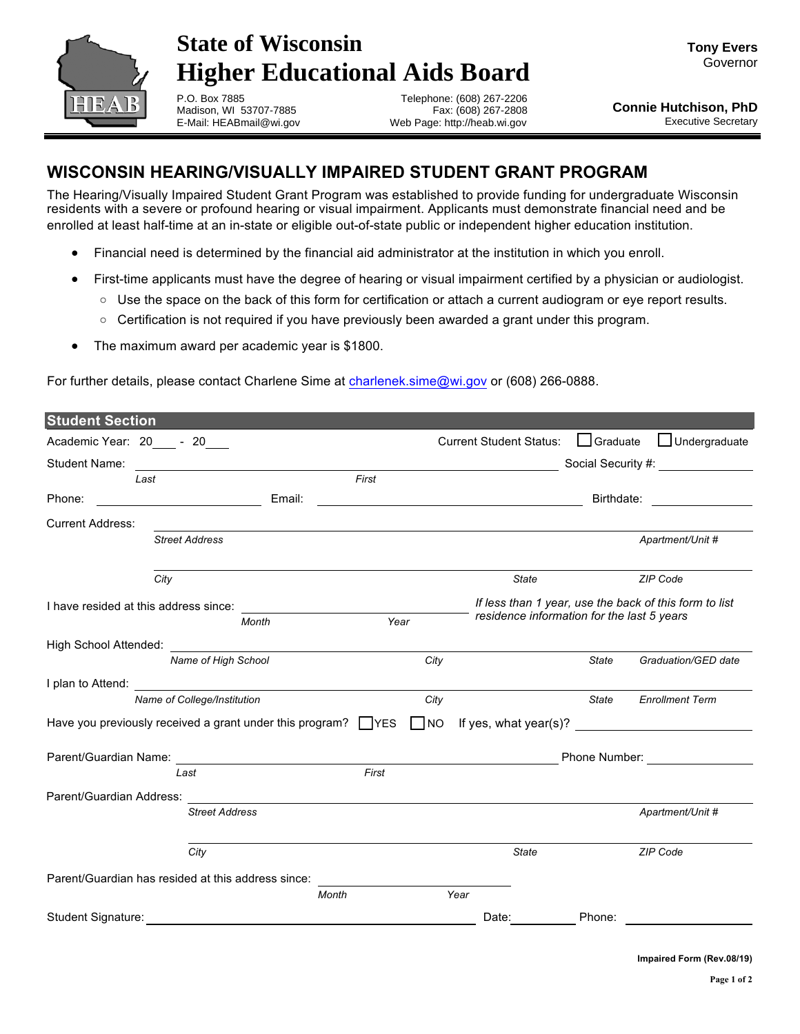

## **State of Wisconsin Higher Educational Aids Board**

**Tony Evers** Governor

P.O. Box 7885 Madison, WI 53707-7885 E-Mail: HEABmail@wi.gov

Telephone: (608) 267-2206 Fax: (608) 267-2808 Web Page: http://heab.wi.gov

## **WISCONSIN HEARING/VISUALLY IMPAIRED STUDENT GRANT PROGRAM**

The Hearing/Visually Impaired Student Grant Program was established to provide funding for undergraduate Wisconsin residents with a severe or profound hearing or visual impairment. Applicants must demonstrate financial need and be enrolled at least half-time at an in-state or eligible out-of-state public or independent higher education institution.

- Financial need is determined by the financial aid administrator at the institution in which you enroll.
- First-time applicants must have the degree of hearing or visual impairment certified by a physician or audiologist.
	- $\circ$  Use the space on the back of this form for certification or attach a current audiogram or eye report results.
	- $\circ$  Certification is not required if you have previously been awarded a grant under this program.
- The maximum award per academic year is \$1800.

For further details, please contact Charlene Sime at charlenek.sime@wi.gov or (608) 266-0888.

| <b>Student Section</b>      |                                                                     |       |                                                        |                                                                                                                     |                                            |                        |  |  |
|-----------------------------|---------------------------------------------------------------------|-------|--------------------------------------------------------|---------------------------------------------------------------------------------------------------------------------|--------------------------------------------|------------------------|--|--|
| Academic Year: 20 - 20      |                                                                     |       |                                                        | <b>Current Student Status:</b>                                                                                      | $\Box$ Graduate                            | $\Box$ Undergraduate   |  |  |
| <b>Student Name:</b>        |                                                                     |       |                                                        |                                                                                                                     |                                            |                        |  |  |
| Last                        |                                                                     | First |                                                        |                                                                                                                     |                                            |                        |  |  |
| Phone:                      | Email:                                                              |       |                                                        | <u> 1989 - Johann Barbara, martin amerikan basar dan basa dan basa dan basa dan basa dan basa dan basa dan basa</u> |                                            |                        |  |  |
| <b>Current Address:</b>     |                                                                     |       |                                                        |                                                                                                                     |                                            |                        |  |  |
|                             | <b>Street Address</b>                                               |       |                                                        |                                                                                                                     |                                            | Apartment/Unit #       |  |  |
| City                        |                                                                     |       |                                                        | <b>State</b>                                                                                                        |                                            | ZIP Code               |  |  |
|                             |                                                                     |       | If less than 1 year, use the back of this form to list |                                                                                                                     |                                            |                        |  |  |
|                             | Month                                                               | Year  |                                                        |                                                                                                                     | residence information for the last 5 years |                        |  |  |
| High School Attended:       |                                                                     |       |                                                        |                                                                                                                     |                                            |                        |  |  |
|                             | Name of High School                                                 |       | City                                                   |                                                                                                                     | State                                      | Graduation/GED date    |  |  |
| I plan to Attend:           |                                                                     |       |                                                        |                                                                                                                     |                                            |                        |  |  |
| Name of College/Institution |                                                                     |       | City                                                   |                                                                                                                     | <b>State</b>                               | <b>Enrollment Term</b> |  |  |
|                             | Have you previously received a grant under this program? $\Box$ YES |       | $\Box$ NO                                              |                                                                                                                     |                                            |                        |  |  |
| Parent/Guardian Name: Name: |                                                                     |       |                                                        | Phone Number: New York 1999                                                                                         |                                            |                        |  |  |
|                             | Last                                                                | First |                                                        |                                                                                                                     |                                            |                        |  |  |
| Parent/Guardian Address:    |                                                                     |       |                                                        |                                                                                                                     |                                            |                        |  |  |
|                             | <b>Street Address</b>                                               |       |                                                        |                                                                                                                     |                                            | Apartment/Unit #       |  |  |
|                             | City                                                                |       |                                                        | <b>State</b>                                                                                                        |                                            | ZIP Code               |  |  |
|                             | Parent/Guardian has resided at this address since:                  |       |                                                        |                                                                                                                     |                                            |                        |  |  |
|                             |                                                                     | Month |                                                        | Year                                                                                                                |                                            |                        |  |  |
| Student Signature:          |                                                                     |       |                                                        | Date:                                                                                                               | Phone:                                     |                        |  |  |